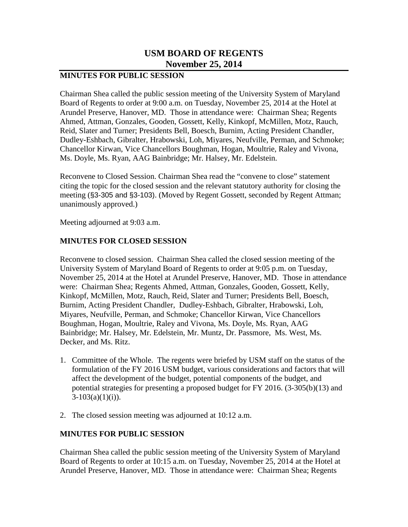## **USM BOARD OF REGENTS November 25, 2014**

## **MINUTES FOR PUBLIC SESSION**

Chairman Shea called the public session meeting of the University System of Maryland Board of Regents to order at 9:00 a.m. on Tuesday, November 25, 2014 at the Hotel at Arundel Preserve, Hanover, MD. Those in attendance were: Chairman Shea; Regents Ahmed, Attman, Gonzales, Gooden, Gossett, Kelly, Kinkopf, McMillen, Motz, Rauch, Reid, Slater and Turner; Presidents Bell, Boesch, Burnim, Acting President Chandler, Dudley-Eshbach, Gibralter, Hrabowski, Loh, Miyares, Neufville, Perman, and Schmoke; Chancellor Kirwan, Vice Chancellors Boughman, Hogan, Moultrie, Raley and Vivona, Ms. Doyle, Ms. Ryan, AAG Bainbridge; Mr. Halsey, Mr. Edelstein.

Reconvene to Closed Session. Chairman Shea read the "convene to close" statement citing the topic for the closed session and the relevant statutory authority for closing the meeting (§3-305 and §3-103). (Moved by Regent Gossett, seconded by Regent Attman; unanimously approved.)

Meeting adjourned at 9:03 a.m.

## **MINUTES FOR CLOSED SESSION**

Reconvene to closed session. Chairman Shea called the closed session meeting of the University System of Maryland Board of Regents to order at 9:05 p.m. on Tuesday, November 25, 2014 at the Hotel at Arundel Preserve, Hanover, MD. Those in attendance were: Chairman Shea; Regents Ahmed, Attman, Gonzales, Gooden, Gossett, Kelly, Kinkopf, McMillen, Motz, Rauch, Reid, Slater and Turner; Presidents Bell, Boesch, Burnim, Acting President Chandler, Dudley-Eshbach, Gibralter, Hrabowski, Loh, Miyares, Neufville, Perman, and Schmoke; Chancellor Kirwan, Vice Chancellors Boughman, Hogan, Moultrie, Raley and Vivona, Ms. Doyle, Ms. Ryan, AAG Bainbridge; Mr. Halsey, Mr. Edelstein, Mr. Muntz, Dr. Passmore, Ms. West, Ms. Decker, and Ms. Ritz.

- 1. Committee of the Whole. The regents were briefed by USM staff on the status of the formulation of the FY 2016 USM budget, various considerations and factors that will affect the development of the budget, potential components of the budget, and potential strategies for presenting a proposed budget for FY 2016. (3-305(b)(13) and  $3-103(a)(1)(i)$ ).
- 2. The closed session meeting was adjourned at 10:12 a.m.

## **MINUTES FOR PUBLIC SESSION**

Chairman Shea called the public session meeting of the University System of Maryland Board of Regents to order at 10:15 a.m. on Tuesday, November 25, 2014 at the Hotel at Arundel Preserve, Hanover, MD. Those in attendance were: Chairman Shea; Regents